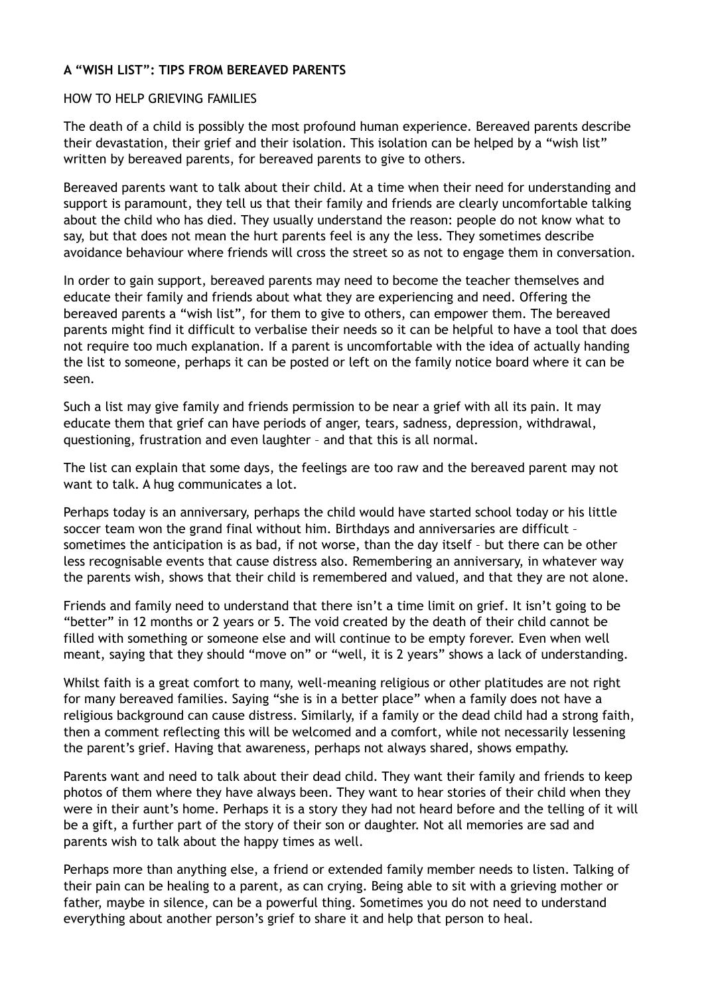### **A "WISH LIST": TIPS FROM BEREAVED PARENTS**

#### HOW TO HELP GRIEVING FAMILIES

The death of a child is possibly the most profound human experience. Bereaved parents describe their devastation, their grief and their isolation. This isolation can be helped by a "wish list" written by bereaved parents, for bereaved parents to give to others.

Bereaved parents want to talk about their child. At a time when their need for understanding and support is paramount, they tell us that their family and friends are clearly uncomfortable talking about the child who has died. They usually understand the reason: people do not know what to say, but that does not mean the hurt parents feel is any the less. They sometimes describe avoidance behaviour where friends will cross the street so as not to engage them in conversation.

In order to gain support, bereaved parents may need to become the teacher themselves and educate their family and friends about what they are experiencing and need. Offering the bereaved parents a "wish list", for them to give to others, can empower them. The bereaved parents might find it difficult to verbalise their needs so it can be helpful to have a tool that does not require too much explanation. If a parent is uncomfortable with the idea of actually handing the list to someone, perhaps it can be posted or left on the family notice board where it can be seen.

Such a list may give family and friends permission to be near a grief with all its pain. It may educate them that grief can have periods of anger, tears, sadness, depression, withdrawal, questioning, frustration and even laughter – and that this is all normal.

The list can explain that some days, the feelings are too raw and the bereaved parent may not want to talk. A hug communicates a lot.

Perhaps today is an anniversary, perhaps the child would have started school today or his little soccer team won the grand final without him. Birthdays and anniversaries are difficult – sometimes the anticipation is as bad, if not worse, than the day itself – but there can be other less recognisable events that cause distress also. Remembering an anniversary, in whatever way the parents wish, shows that their child is remembered and valued, and that they are not alone.

Friends and family need to understand that there isn't a time limit on grief. It isn't going to be "better" in 12 months or 2 years or 5. The void created by the death of their child cannot be filled with something or someone else and will continue to be empty forever. Even when well meant, saying that they should "move on" or "well, it is 2 years" shows a lack of understanding.

Whilst faith is a great comfort to many, well-meaning religious or other platitudes are not right for many bereaved families. Saying "she is in a better place" when a family does not have a religious background can cause distress. Similarly, if a family or the dead child had a strong faith, then a comment reflecting this will be welcomed and a comfort, while not necessarily lessening the parent's grief. Having that awareness, perhaps not always shared, shows empathy.

Parents want and need to talk about their dead child. They want their family and friends to keep photos of them where they have always been. They want to hear stories of their child when they were in their aunt's home. Perhaps it is a story they had not heard before and the telling of it will be a gift, a further part of the story of their son or daughter. Not all memories are sad and parents wish to talk about the happy times as well.

Perhaps more than anything else, a friend or extended family member needs to listen. Talking of their pain can be healing to a parent, as can crying. Being able to sit with a grieving mother or father, maybe in silence, can be a powerful thing. Sometimes you do not need to understand everything about another person's grief to share it and help that person to heal.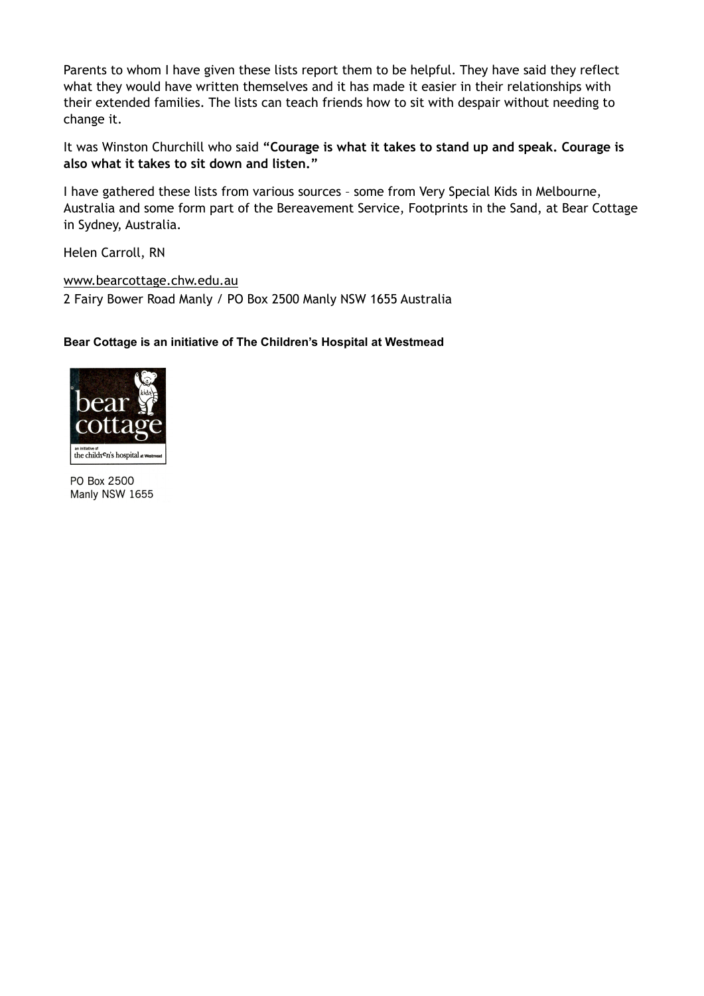Parents to whom I have given these lists report them to be helpful. They have said they reflect what they would have written themselves and it has made it easier in their relationships with their extended families. The lists can teach friends how to sit with despair without needing to change it.

It was Winston Churchill who said **"Courage is what it takes to stand up and speak. Courage is also what it takes to sit down and listen."**

I have gathered these lists from various sources – some from Very Special Kids in Melbourne, Australia and some form part of the Bereavement Service, Footprints in the Sand, at Bear Cottage in Sydney, Australia.

Helen Carroll, RN

[www.bearcottage.chw.edu.au](http://www.bearcottage.chw.edu.au/) 2 Fairy Bower Road Manly / PO Box 2500 Manly NSW 1655 Australia

### **Bear Cottage is an initiative of The Children's Hospital at Westmead**



PO Box 2500 Manly NSW 1655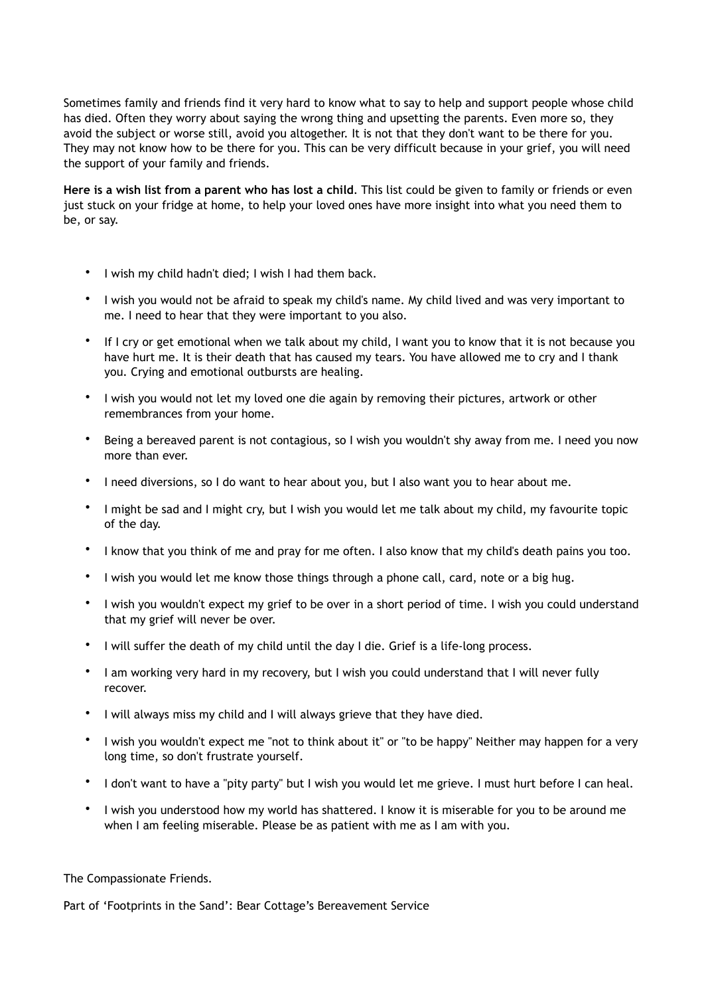Sometimes family and friends find it very hard to know what to say to help and support people whose child has died. Often they worry about saying the wrong thing and upsetting the parents. Even more so, they avoid the subject or worse still, avoid you altogether. It is not that they don't want to be there for you. They may not know how to be there for you. This can be very difficult because in your grief, you will need the support of your family and friends.

**Here is a wish list from a parent who has lost a child**. This list could be given to family or friends or even just stuck on your fridge at home, to help your loved ones have more insight into what you need them to be, or say.

- I wish my child hadn't died; I wish I had them back.
- I wish you would not be afraid to speak my child's name. My child lived and was very important to me. I need to hear that they were important to you also.
- If I cry or get emotional when we talk about my child, I want you to know that it is not because you have hurt me. It is their death that has caused my tears. You have allowed me to cry and I thank you. Crying and emotional outbursts are healing.
- I wish you would not let my loved one die again by removing their pictures, artwork or other remembrances from your home.
- Being a bereaved parent is not contagious, so I wish you wouldn't shy away from me. I need you now more than ever.
- I need diversions, so I do want to hear about you, but I also want you to hear about me.
- I might be sad and I might cry, but I wish you would let me talk about my child, my favourite topic of the day.
- I know that you think of me and pray for me often. I also know that my child's death pains you too.
- I wish you would let me know those things through a phone call, card, note or a big hug.
- I wish you wouldn't expect my grief to be over in a short period of time. I wish you could understand that my grief will never be over.
- I will suffer the death of my child until the day I die. Grief is a life-long process.
- I am working very hard in my recovery, but I wish you could understand that I will never fully recover.
- I will always miss my child and I will always grieve that they have died.
- I wish you wouldn't expect me "not to think about it" or "to be happy" Neither may happen for a very long time, so don't frustrate yourself.
- I don't want to have a "pity party" but I wish you would let me grieve. I must hurt before I can heal.
- I wish you understood how my world has shattered. I know it is miserable for you to be around me when I am feeling miserable. Please be as patient with me as I am with you.

The Compassionate Friends.

Part of 'Footprints in the Sand': Bear Cottage's Bereavement Service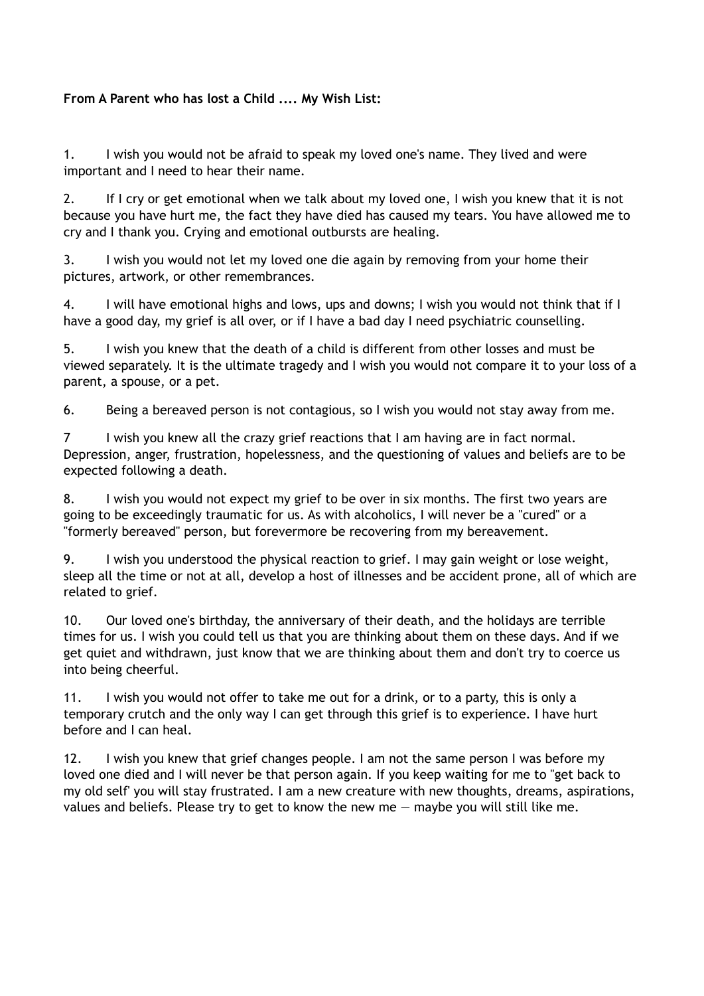# **From A Parent who has lost a Child .... My Wish List:**

1. I wish you would not be afraid to speak my loved one's name. They lived and were important and I need to hear their name.

2. If I cry or get emotional when we talk about my loved one, I wish you knew that it is not because you have hurt me, the fact they have died has caused my tears. You have allowed me to cry and I thank you. Crying and emotional outbursts are healing.

3. I wish you would not let my loved one die again by removing from your home their pictures, artwork, or other remembrances.

4. I will have emotional highs and lows, ups and downs; I wish you would not think that if I have a good day, my grief is all over, or if I have a bad day I need psychiatric counselling.

5. I wish you knew that the death of a child is different from other losses and must be viewed separately. It is the ultimate tragedy and I wish you would not compare it to your loss of a parent, a spouse, or a pet.

6. Being a bereaved person is not contagious, so I wish you would not stay away from me.

7 I wish you knew all the crazy grief reactions that I am having are in fact normal. Depression, anger, frustration, hopelessness, and the questioning of values and beliefs are to be expected following a death.

8. I wish you would not expect my grief to be over in six months. The first two years are going to be exceedingly traumatic for us. As with alcoholics, I will never be a "cured" or a "formerly bereaved" person, but forevermore be recovering from my bereavement.

9. I wish you understood the physical reaction to grief. I may gain weight or lose weight, sleep all the time or not at all, develop a host of illnesses and be accident prone, all of which are related to grief.

10. Our loved one's birthday, the anniversary of their death, and the holidays are terrible times for us. I wish you could tell us that you are thinking about them on these days. And if we get quiet and withdrawn, just know that we are thinking about them and don't try to coerce us into being cheerful.

11. I wish you would not offer to take me out for a drink, or to a party, this is only a temporary crutch and the only way I can get through this grief is to experience. I have hurt before and I can heal.

12. I wish you knew that grief changes people. I am not the same person I was before my loved one died and I will never be that person again. If you keep waiting for me to "get back to my old self' you will stay frustrated. I am a new creature with new thoughts, dreams, aspirations, values and beliefs. Please try to get to know the new me — maybe you will still like me.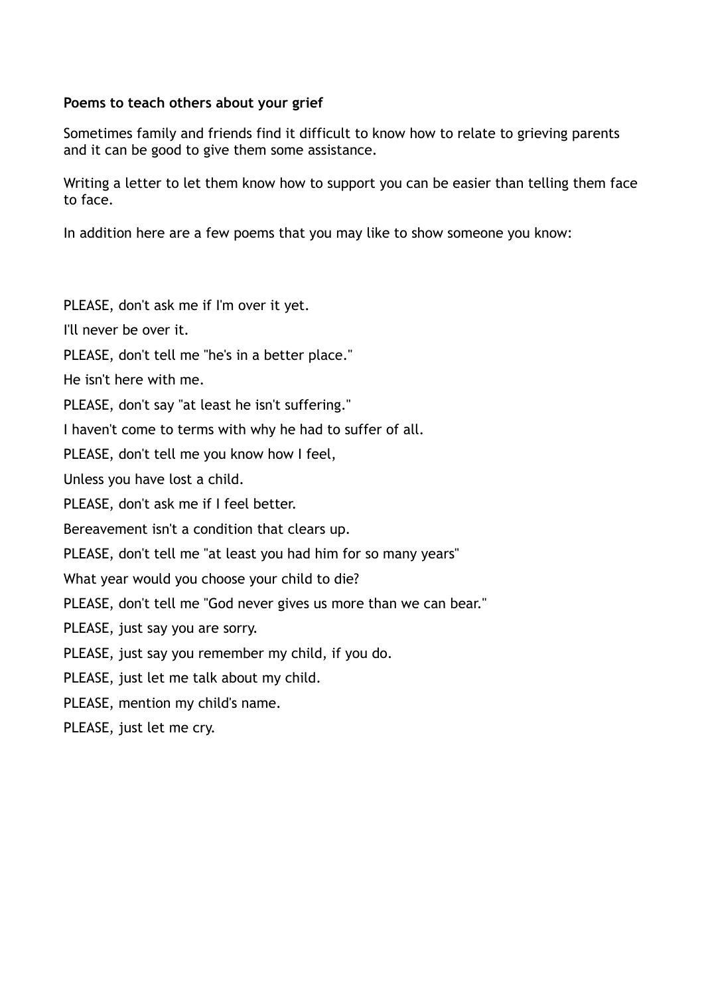# **Poems to teach others about your grief**

Sometimes family and friends find it difficult to know how to relate to grieving parents and it can be good to give them some assistance.

Writing a letter to let them know how to support you can be easier than telling them face to face.

In addition here are a few poems that you may like to show someone you know:

PLEASE, don't ask me if I'm over it yet.

I'll never be over it.

PLEASE, don't tell me "he's in a better place."

He isn't here with me.

PLEASE, don't say "at least he isn't suffering."

I haven't come to terms with why he had to suffer of all.

PLEASE, don't tell me you know how I feel,

Unless you have lost a child.

PLEASE, don't ask me if I feel better.

Bereavement isn't a condition that clears up.

PLEASE, don't tell me "at least you had him for so many years"

What year would you choose your child to die?

PLEASE, don't tell me "God never gives us more than we can bear."

PLEASE, just say you are sorry.

PLEASE, just say you remember my child, if you do.

PLEASE, just let me talk about my child.

PLEASE, mention my child's name.

PLEASE, just let me cry.